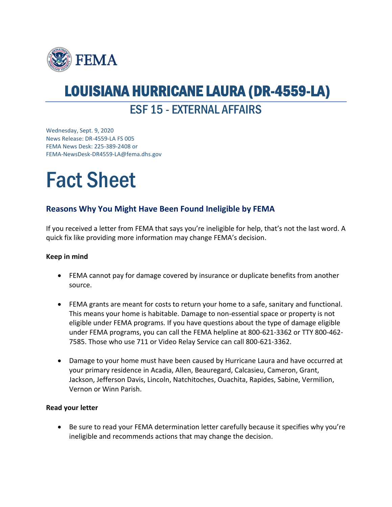

## LOUISIANA HURRICANE LAURA (DR-4559-LA)

ESF 15 - EXTERNAL AFFAIRS

Wednesday, Sept. 9, 2020 News Release: DR-4559-LA FS 005 FEMA News Desk: 225-389-2408 or FEMA-NewsDesk-DR4559-LA@fema.dhs.gov

# Fact Sheet

### **Reasons Why You Might Have Been Found Ineligible by FEMA**

If you received a letter from FEMA that says you're ineligible for help, that's not the last word. A quick fix like providing more information may change FEMA's decision.

#### **Keep in mind**

- FEMA cannot pay for damage covered by insurance or duplicate benefits from another source.
- FEMA grants are meant for costs to return your home to a safe, sanitary and functional. This means your home is habitable. Damage to non-essential space or property is not eligible under FEMA programs. If you have questions about the type of damage eligible under FEMA programs, you can call the FEMA helpline at 800-621-3362 or TTY 800-462- 7585. Those who use 711 or Video Relay Service can call 800-621-3362.
- Damage to your home must have been caused by Hurricane Laura and have occurred at your primary residence in Acadia, Allen, Beauregard, Calcasieu, Cameron, Grant, Jackson, Jefferson Davis, Lincoln, Natchitoches, Ouachita, Rapides, Sabine, Vermilion, Vernon or Winn Parish.

#### **Read your letter**

• Be sure to read your FEMA determination letter carefully because it specifies why you're ineligible and recommends actions that may change the decision.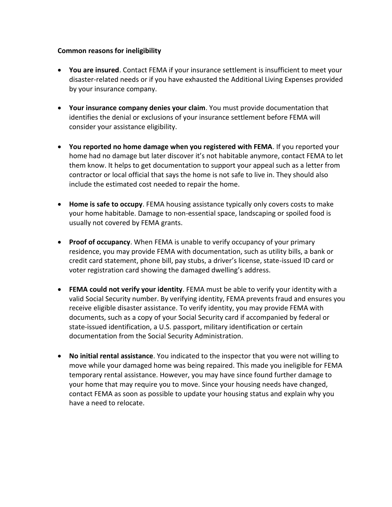#### **Common reasons for ineligibility**

- **You are insured**. Contact FEMA if your insurance settlement is insufficient to meet your disaster-related needs or if you have exhausted the Additional Living Expenses provided by your insurance company.
- **Your insurance company denies your claim**. You must provide documentation that identifies the denial or exclusions of your insurance settlement before FEMA will consider your assistance eligibility.
- **You reported no home damage when you registered with FEMA**. If you reported your home had no damage but later discover it's not habitable anymore, contact FEMA to let them know. It helps to get documentation to support your appeal such as a letter from contractor or local official that says the home is not safe to live in. They should also include the estimated cost needed to repair the home.
- **Home is safe to occupy**. FEMA housing assistance typically only covers costs to make your home habitable. Damage to non-essential space, landscaping or spoiled food is usually not covered by FEMA grants.
- **Proof of occupancy**. When FEMA is unable to verify occupancy of your primary residence, you may provide FEMA with documentation, such as utility bills, a bank or credit card statement, phone bill, pay stubs, a driver's license, state-issued ID card or voter registration card showing the damaged dwelling's address.
- **FEMA could not verify your identity**. FEMA must be able to verify your identity with a valid Social Security number. By verifying identity, FEMA prevents fraud and ensures you receive eligible disaster assistance. To verify identity, you may provide FEMA with documents, such as a copy of your Social Security card if accompanied by federal or state-issued identification, a U.S. passport, military identification or certain documentation from the Social Security Administration.
- **No initial rental assistance**. You indicated to the inspector that you were not willing to move while your damaged home was being repaired. This made you ineligible for FEMA temporary rental assistance. However, you may have since found further damage to your home that may require you to move. Since your housing needs have changed, contact FEMA as soon as possible to update your housing status and explain why you have a need to relocate.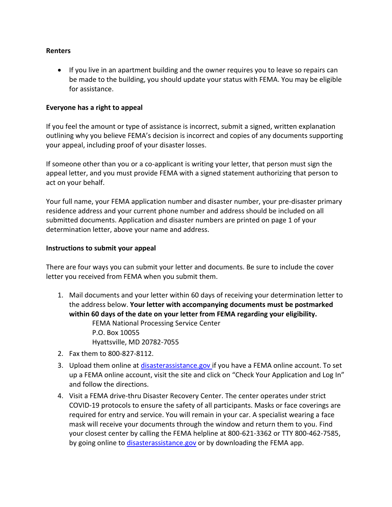#### **Renters**

• If you live in an apartment building and the owner requires you to leave so repairs can be made to the building, you should update your status with FEMA. You may be eligible for assistance.

#### **Everyone has a right to appeal**

If you feel the amount or type of assistance is incorrect, submit a signed, written explanation outlining why you believe FEMA's decision is incorrect and copies of any documents supporting your appeal, including proof of your disaster losses.

If someone other than you or a co-applicant is writing your letter, that person must sign the appeal letter, and you must provide FEMA with a signed statement authorizing that person to act on your behalf.

Your full name, your FEMA application number and disaster number, your pre-disaster primary residence address and your current phone number and address should be included on all submitted documents. Application and disaster numbers are printed on page 1 of your determination letter, above your name and address.

#### **Instructions to submit your appeal**

There are four ways you can submit your letter and documents. Be sure to include the cover letter you received from FEMA when you submit them.

- 1. Mail documents and your letter within 60 days of receiving your determination letter to the address below. **Your letter with accompanying documents must be postmarked within 60 days of the date on your letter from FEMA regarding your eligibility.** FEMA National Processing Service Center P.O. Box 10055 Hyattsville, MD 20782-7055
- 2. Fax them to 800-827-8112.
- 3. Upload them online at [disasterassistance.gov](http://disasterassistance.gov/) if you have a FEMA online account. To set up a FEMA online account, visit the site and click on "Check Your Application and Log In" and follow the directions.
- 4. Visit a FEMA drive-thru Disaster Recovery Center. The center operates under strict COVID-19 protocols to ensure the safety of all participants. Masks or face coverings are required for entry and service. You will remain in your car. A specialist wearing a face mask will receive your documents through the window and return them to you. Find your closest center by calling the FEMA helpline at 800-621-3362 or TTY 800-462-7585, by going online to [disasterassistance.gov](https://disasterassistance.gov/) or by downloading the FEMA app.